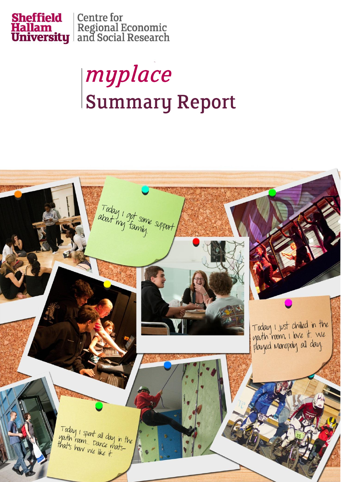

# myplace Summary Report

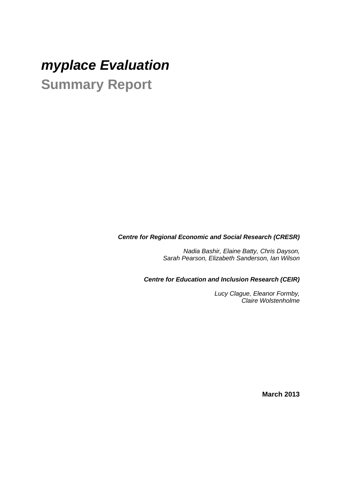# *myplace Evaluation* **Summary Report**

#### *Centre for Regional Economic and Social Research (CRESR)*

*Nadia Bashir, Elaine Batty, Chris Dayson, Sarah Pearson, Elizabeth Sanderson, Ian Wilson*

*Centre for Education and Inclusion Research (CEIR)*

*Lucy Clague, Eleanor Formby, Claire Wolstenholme*

**March 2013**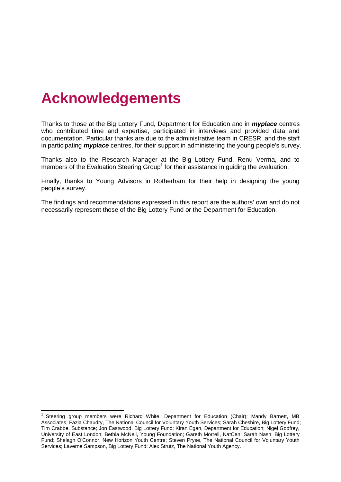# **Acknowledgements**

-

Thanks to those at the Big Lottery Fund, Department for Education and in *myplace* centres who contributed time and expertise, participated in interviews and provided data and documentation. Particular thanks are due to the administrative team in CRESR, and the staff in participating *myplace* centres, for their support in administering the young people's survey.

Thanks also to the Research Manager at the Big Lottery Fund, Renu Verma, and to members of the Evaluation Steering Group<sup>1</sup> for their assistance in guiding the evaluation.

Finally, thanks to Young Advisors in Rotherham for their help in designing the young people's survey.

The findings and recommendations expressed in this report are the authors' own and do not necessarily represent those of the Big Lottery Fund or the Department for Education.

<sup>1</sup> Steering group members were Richard White, Department for Education (Chair); Mandy Barnett, MB Associates; Fazia Chaudry, The National Council for Voluntary Youth Services; Sarah Cheshire, Big Lottery Fund; Tim Crabbe, Substance; Jon Eastwood, Big Lottery Fund; Kiran Egan, Department for Education; Nigel Godfrey, University of East London; Bethia McNeil, Young Foundation; Gareth Morrell, NatCen; Sarah Nash, Big Lottery Fund; Shelagh O'Connor, New Horizon Youth Centre; Steven Pryse, The National Council for Voluntary Youth Services; Laverne Sampson, Big Lottery Fund; Alex Strutz, The National Youth Agency.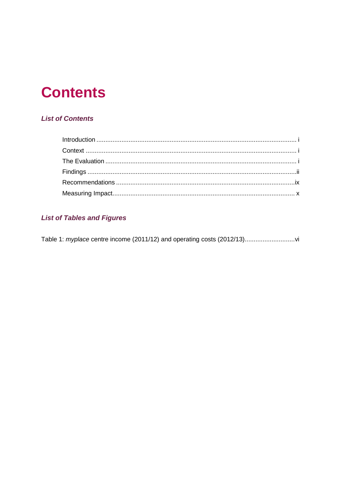# **Contents**

# **List of Contents**

# **List of Tables and Figures**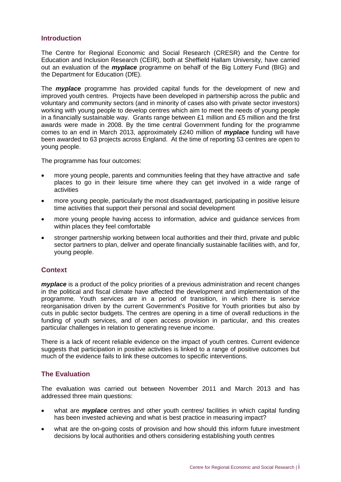#### <span id="page-4-0"></span>**Introduction**

The Centre for Regional Economic and Social Research (CRESR) and the Centre for Education and Inclusion Research (CEIR), both at Sheffield Hallam University, have carried out an evaluation of the *myplace* programme on behalf of the Big Lottery Fund (BIG) and the Department for Education (DfE).

The *myplace* programme has provided capital funds for the development of new and improved youth centres. Projects have been developed in partnership across the public and voluntary and community sectors (and in minority of cases also with private sector investors) working with young people to develop centres which aim to meet the needs of young people in a financially sustainable way. Grants range between £1 million and £5 million and the first awards were made in 2008. By the time central Government funding for the programme comes to an end in March 2013, approximately £240 million of *myplace* funding will have been awarded to 63 projects across England. At the time of reporting 53 centres are open to young people.

The programme has four outcomes:

- more young people, parents and communities feeling that they have attractive and safe places to go in their leisure time where they can get involved in a wide range of activities
- more young people, particularly the most disadvantaged, participating in positive leisure time activities that support their personal and social development
- more young people having access to information, advice and guidance services from within places they feel comfortable
- stronger partnership working between local authorities and their third, private and public sector partners to plan, deliver and operate financially sustainable facilities with, and for, young people.

## <span id="page-4-1"></span>**Context**

*myplace* is a product of the policy priorities of a previous administration and recent changes in the political and fiscal climate have affected the development and implementation of the programme. Youth services are in a period of transition, in which there is service reorganisation driven by the current Government's Positive for Youth priorities but also by cuts in public sector budgets. The centres are opening in a time of overall reductions in the funding of youth services, and of open access provision in particular, and this creates particular challenges in relation to generating revenue income.

There is a lack of recent reliable evidence on the impact of youth centres. Current evidence suggests that participation in positive activities is linked to a range of positive outcomes but much of the evidence fails to link these outcomes to specific interventions.

## <span id="page-4-2"></span>**The Evaluation**

The evaluation was carried out between November 2011 and March 2013 and has addressed three main questions:

- what are *myplace* centres and other youth centres/ facilities in which capital funding has been invested achieving and what is best practice in measuring impact?
- what are the on-going costs of provision and how should this inform future investment decisions by local authorities and others considering establishing youth centres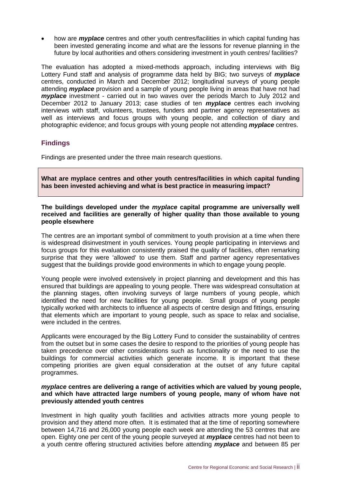how are *myplace* centres and other youth centres/facilities in which capital funding has been invested generating income and what are the lessons for revenue planning in the future by local authorities and others considering investment in youth centres/ facilities?

The evaluation has adopted a mixed-methods approach, including interviews with Big Lottery Fund staff and analysis of programme data held by BIG; two surveys of *myplace* centres, conducted in March and December 2012; longitudinal surveys of young people attending *myplace* provision and a sample of young people living in areas that have not had *myplace* investment - carried out in two waves over the periods March to July 2012 and December 2012 to January 2013; case studies of ten *myplace* centres each involving interviews with staff, volunteers, trustees, funders and partner agency representatives as well as interviews and focus groups with young people, and collection of diary and photographic evidence; and focus groups with young people not attending *myplace* centres.

## <span id="page-5-0"></span>**Findings**

Findings are presented under the three main research questions.

**What are myplace centres and other youth centres/facilities in which capital funding has been invested achieving and what is best practice in measuring impact?**

#### **The buildings developed under the** *myplace* **capital programme are universally well received and facilities are generally of higher quality than those available to young people elsewhere**

The centres are an important symbol of commitment to youth provision at a time when there is widespread disinvestment in youth services. Young people participating in interviews and focus groups for this evaluation consistently praised the quality of facilities, often remarking surprise that they were 'allowed' to use them. Staff and partner agency representatives suggest that the buildings provide good environments in which to engage young people.

Young people were involved extensively in project planning and development and this has ensured that buildings are appealing to young people. There was widespread consultation at the planning stages, often involving surveys of large numbers of young people, which identified the need for new facilities for young people. Small groups of young people typically worked with architects to influence all aspects of centre design and fittings, ensuring that elements which are important to young people, such as space to relax and socialise, were included in the centres.

Applicants were encouraged by the Big Lottery Fund to consider the sustainability of centres from the outset but in some cases the desire to respond to the priorities of young people has taken precedence over other considerations such as functionality or the need to use the buildings for commercial activities which generate income. It is important that these competing priorities are given equal consideration at the outset of any future capital programmes.

#### *myplace* **centres are delivering a range of activities which are valued by young people, and which have attracted large numbers of young people, many of whom have not previously attended youth centres**

Investment in high quality youth facilities and activities attracts more young people to provision and they attend more often. It is estimated that at the time of reporting somewhere between 14,716 and 26,000 young people each week are attending the 53 centres that are open. Eighty one per cent of the young people surveyed at *myplace* centres had not been to a youth centre offering structured activities before attending *myplace* and between 85 per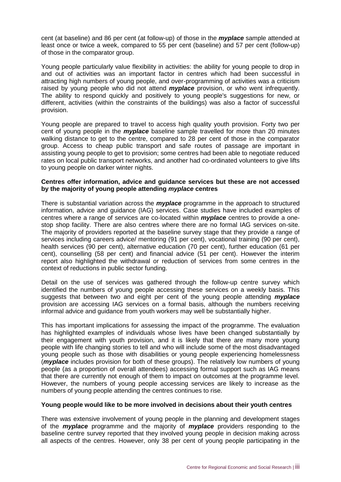cent (at baseline) and 86 per cent (at follow-up) of those in the *myplace* sample attended at least once or twice a week, compared to 55 per cent (baseline) and 57 per cent (follow-up) of those in the comparator group.

Young people particularly value flexibility in activities: the ability for young people to drop in and out of activities was an important factor in centres which had been successful in attracting high numbers of young people, and over-programming of activities was a criticism raised by young people who did not attend *myplace* provision, or who went infrequently. The ability to respond quickly and positively to young people's suggestions for new, or different, activities (within the constraints of the buildings) was also a factor of successful provision.

Young people are prepared to travel to access high quality youth provision. Forty two per cent of young people in the *myplace* baseline sample travelled for more than 20 minutes walking distance to get to the centre, compared to 28 per cent of those in the comparator group. Access to cheap public transport and safe routes of passage are important in assisting young people to get to provision; some centres had been able to negotiate reduced rates on local public transport networks, and another had co-ordinated volunteers to give lifts to young people on darker winter nights.

#### **Centres offer information, advice and guidance services but these are not accessed by the majority of young people attending** *myplace* **centres**

There is substantial variation across the *myplace* programme in the approach to structured information, advice and guidance (IAG) services. Case studies have included examples of centres where a range of services are co-located within *myplace* centres to provide a onestop shop facility. There are also centres where there are no formal IAG services on-site. The majority of providers reported at the baseline survey stage that they provide a range of services including careers advice/ mentoring (91 per cent), vocational training (90 per cent), health services (90 per cent), alternative education (70 per cent), further education (61 per cent), counselling (58 per cent) and financial advice (51 per cent). However the interim report also highlighted the withdrawal or reduction of services from some centres in the context of reductions in public sector funding.

Detail on the use of services was gathered through the follow-up centre survey which identified the numbers of young people accessing these services on a weekly basis. This suggests that between two and eight per cent of the young people attending *myplace* provision are accessing IAG services on a formal basis, although the numbers receiving informal advice and guidance from youth workers may well be substantially higher.

This has important implications for assessing the impact of the programme. The evaluation has highlighted examples of individuals whose lives have been changed substantially by their engagement with youth provision, and it is likely that there are many more young people with life changing stories to tell and who will include some of the most disadvantaged young people such as those with disabilities or young people experiencing homelessness (*myplace* includes provision for both of these groups). The relatively low numbers of young people (as a proportion of overall attendees) accessing formal support such as IAG means that there are currently not enough of them to impact on outcomes at the programme level. However, the numbers of young people accessing services are likely to increase as the numbers of young people attending the centres continues to rise.

#### **Young people would like to be more involved in decisions about their youth centres**

There was extensive involvement of young people in the planning and development stages of the *myplace* programme and the majority of *myplace* providers responding to the baseline centre survey reported that they involved young people in decision making across all aspects of the centres. However, only 38 per cent of young people participating in the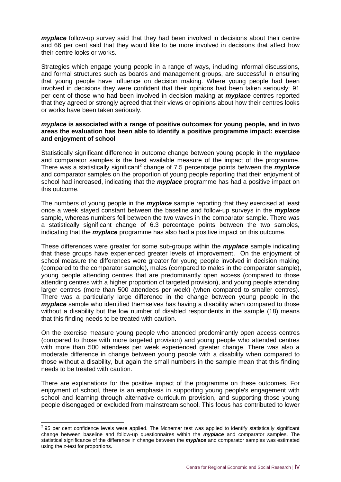*myplace* follow-up survey said that they had been involved in decisions about their centre and 66 per cent said that they would like to be more involved in decisions that affect how their centre looks or works.

Strategies which engage young people in a range of ways, including informal discussions, and formal structures such as boards and management groups, are successful in ensuring that young people have influence on decision making. Where young people had been involved in decisions they were confident that their opinions had been taken seriously: 91 per cent of those who had been involved in decision making at *myplace* centres reported that they agreed or strongly agreed that their views or opinions about how their centres looks or works have been taken seriously.

#### *myplace* **is associated with a range of positive outcomes for young people, and in two areas the evaluation has been able to identify a positive programme impact: exercise and enjoyment of school**

Statistically significant difference in outcome change between young people in the *myplace* and comparator samples is the best available measure of the impact of the programme. There was a statistically significant<sup>2</sup> change of 7.5 percentage points between the *myplace* and comparator samples on the proportion of young people reporting that their enjoyment of school had increased, indicating that the *myplace* programme has had a positive impact on this outcome.

The numbers of young people in the *myplace* sample reporting that they exercised at least once a week stayed constant between the baseline and follow-up surveys in the *myplace* sample, whereas numbers fell between the two waves in the comparator sample. There was a statistically significant change of 6.3 percentage points between the two samples, indicating that the *myplace* programme has also had a positive impact on this outcome.

These differences were greater for some sub-groups within the *myplace* sample indicating that these groups have experienced greater levels of improvement. On the enjoyment of school measure the differences were greater for young people involved in decision making (compared to the comparator sample), males (compared to males in the comparator sample), young people attending centres that are predominantly open access (compared to those attending centres with a higher proportion of targeted provision), and young people attending larger centres (more than 500 attendees per week) (when compared to smaller centres). There was a particularly large difference in the change between young people in the *myplace* sample who identified themselves has having a disability when compared to those without a disability but the low number of disabled respondents in the sample (18) means that this finding needs to be treated with caution.

On the exercise measure young people who attended predominantly open access centres (compared to those with more targeted provision) and young people who attended centres with more than 500 attendees per week experienced greater change. There was also a moderate difference in change between young people with a disability when compared to those without a disability, but again the small numbers in the sample mean that this finding needs to be treated with caution.

There are explanations for the positive impact of the programme on these outcomes. For enjoyment of school, there is an emphasis in supporting young people's engagement with school and learning through alternative curriculum provision, and supporting those young people disengaged or excluded from mainstream school. This focus has contributed to lower

 2 95 per cent confidence levels were applied. The Mcnemar test was applied to identify statistically significant change between baseline and follow-up questionnaires within the *myplace* and comparator samples. The statistical significance of the difference in change between the *myplace* and comparator samples was estimated using the z-test for proportions.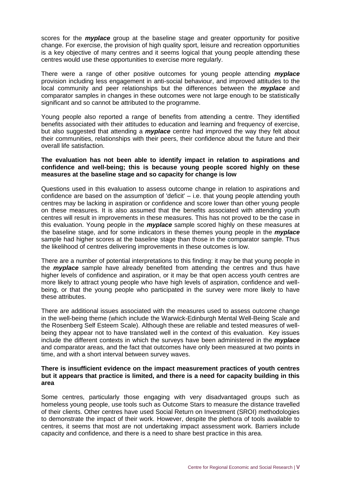scores for the *myplace* group at the baseline stage and greater opportunity for positive change. For exercise, the provision of high quality sport, leisure and recreation opportunities is a key objective of many centres and it seems logical that young people attending these centres would use these opportunities to exercise more regularly.

There were a range of other positive outcomes for young people attending *myplace* provision including less engagement in anti-social behaviour, and improved attitudes to the local community and peer relationships but the differences between the *myplace* and comparator samples in changes in these outcomes were not large enough to be statistically significant and so cannot be attributed to the programme.

Young people also reported a range of benefits from attending a centre. They identified benefits associated with their attitudes to education and learning and frequency of exercise, but also suggested that attending a *myplace* centre had improved the way they felt about their communities, relationships with their peers, their confidence about the future and their overall life satisfaction.

#### **The evaluation has not been able to identify impact in relation to aspirations and confidence and well-being; this is because young people scored highly on these measures at the baseline stage and so capacity for change is low**

Questions used in this evaluation to assess outcome change in relation to aspirations and confidence are based on the assumption of 'deficit' – i.e. that young people attending youth centres may be lacking in aspiration or confidence and score lower than other young people on these measures. It is also assumed that the benefits associated with attending youth centres will result in improvements in these measures. This has not proved to be the case in this evaluation. Young people in the *myplace* sample scored highly on these measures at the baseline stage, and for some indicators in these themes young people in the *myplace* sample had higher scores at the baseline stage than those in the comparator sample. Thus the likelihood of centres delivering improvements in these outcomes is low.

There are a number of potential interpretations to this finding: it may be that young people in the *myplace* sample have already benefited from attending the centres and thus have higher levels of confidence and aspiration, or it may be that open access youth centres are more likely to attract young people who have high levels of aspiration, confidence and wellbeing, or that the young people who participated in the survey were more likely to have these attributes.

There are additional issues associated with the measures used to assess outcome change in the well-being theme (which include the Warwick-Edinburgh Mental Well-Being Scale and the Rosenberg Self Esteem Scale). Although these are reliable and tested measures of wellbeing they appear not to have translated well in the context of this evaluation. Key issues include the different contexts in which the surveys have been administered in the *myplace* and comparator areas, and the fact that outcomes have only been measured at two points in time, and with a short interval between survey waves.

#### **There is insufficient evidence on the impact measurement practices of youth centres but it appears that practice is limited, and there is a need for capacity building in this area**

Some centres, particularly those engaging with very disadvantaged groups such as homeless young people, use tools such as Outcome Stars to measure the distance travelled of their clients. Other centres have used Social Return on Investment (SROI) methodologies to demonstrate the impact of their work. However, despite the plethora of tools available to centres, it seems that most are not undertaking impact assessment work. Barriers include capacity and confidence, and there is a need to share best practice in this area.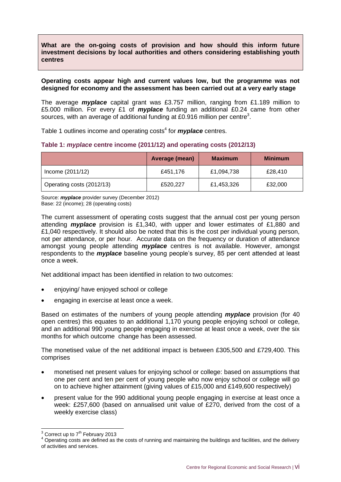#### **What are the on-going costs of provision and how should this inform future investment decisions by local authorities and others considering establishing youth centres**

#### **Operating costs appear high and current values low, but the programme was not designed for economy and the assessment has been carried out at a very early stage**

The average *myplace* capital grant was £3.757 million, ranging from £1.189 million to £5.000 million. For every £1 of *myplace* funding an additional £0.24 came from other sources, with an average of additional funding at £0.916 million per centre<sup>3</sup>.

Table 1 outlines income and operating costs<sup>4</sup> for *myplace* centres.

#### <span id="page-9-0"></span>**Table 1:** *myplace* **centre income (2011/12) and operating costs (2012/13)**

|                           | Average (mean) | <b>Maximum</b> | <b>Minimum</b> |
|---------------------------|----------------|----------------|----------------|
| Income (2011/12)          | £451,176       | £1,094,738     | £28,410        |
| Operating costs (2012/13) | £520,227       | £1,453,326     | £32,000        |

Source: *myplace* provider survey (December 2012) Base: 22 (income); 28 (operating costs)

The current assessment of operating costs suggest that the annual cost per young person attending *myplace* provision is £1,340, with upper and lower estimates of £1,880 and £1,040 respectively. It should also be noted that this is the cost per individual young person, not per attendance, or per hour. Accurate data on the frequency or duration of attendance amongst young people attending *myplace* centres is not available. However, amongst respondents to the *myplace* baseline young people's survey, 85 per cent attended at least once a week.

Net additional impact has been identified in relation to two outcomes:

- enjoying/ have enjoyed school or college
- engaging in exercise at least once a week.

Based on estimates of the numbers of young people attending *myplace* provision (for 40 open centres) this equates to an additional 1,170 young people enjoying school or college, and an additional 990 young people engaging in exercise at least once a week, over the six months for which outcome change has been assessed.

The monetised value of the net additional impact is between £305,500 and £729,400. This comprises

- monetised net present values for enjoying school or college: based on assumptions that one per cent and ten per cent of young people who now enjoy school or college will go on to achieve higher attainment (giving values of £15,000 and £149,600 respectively)
- present value for the 990 additional young people engaging in exercise at least once a week: £257,600 (based on annualised unit value of £270, derived from the cost of a weekly exercise class)

<sup>-</sup> $3$  Correct up to 7<sup>th</sup> February 2013

<sup>&</sup>lt;sup>4</sup> Operating costs are defined as the costs of running and maintaining the buildings and facilities, and the delivery of activities and services.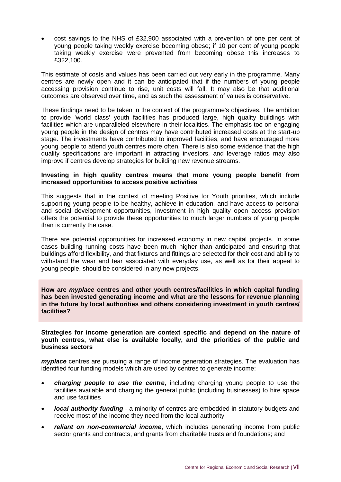cost savings to the NHS of £32,900 associated with a prevention of one per cent of young people taking weekly exercise becoming obese; if 10 per cent of young people taking weekly exercise were prevented from becoming obese this increases to £322,100.

This estimate of costs and values has been carried out very early in the programme. Many centres are newly open and it can be anticipated that if the numbers of young people accessing provision continue to rise, unit costs will fall. It may also be that additional outcomes are observed over time, and as such the assessment of values is conservative.

These findings need to be taken in the context of the programme's objectives. The ambition to provide 'world class' youth facilities has produced large, high quality buildings with facilities which are unparalleled elsewhere in their localities. The emphasis too on engaging young people in the design of centres may have contributed increased costs at the start-up stage. The investments have contributed to improved facilities, and have encouraged more young people to attend youth centres more often. There is also some evidence that the high quality specifications are important in attracting investors, and leverage ratios may also improve if centres develop strategies for building new revenue streams.

#### **Investing in high quality centres means that more young people benefit from increased opportunities to access positive activities**

This suggests that in the context of meeting Positive for Youth priorities, which include supporting young people to be healthy, achieve in education, and have access to personal and social development opportunities, investment in high quality open access provision offers the potential to provide these opportunities to much larger numbers of young people than is currently the case.

There are potential opportunities for increased economy in new capital projects. In some cases building running costs have been much higher than anticipated and ensuring that buildings afford flexibility, and that fixtures and fittings are selected for their cost and ability to withstand the wear and tear associated with everyday use, as well as for their appeal to young people, should be considered in any new projects.

**How are** *myplace* **centres and other youth centres/facilities in which capital funding has been invested generating income and what are the lessons for revenue planning in the future by local authorities and others considering investment in youth centres/ facilities?** 

**Strategies for income generation are context specific and depend on the nature of youth centres, what else is available locally, and the priorities of the public and business sectors**

*myplace* centres are pursuing a range of income generation strategies. The evaluation has identified four funding models which are used by centres to generate income:

- *charging people to use the centre*, including charging young people to use the facilities available and charging the general public (including businesses) to hire space and use facilities
- *local authority funding* a minority of centres are embedded in statutory budgets and receive most of the income they need from the local authority
- *reliant on non-commercial income*, which includes generating income from public sector grants and contracts, and grants from charitable trusts and foundations; and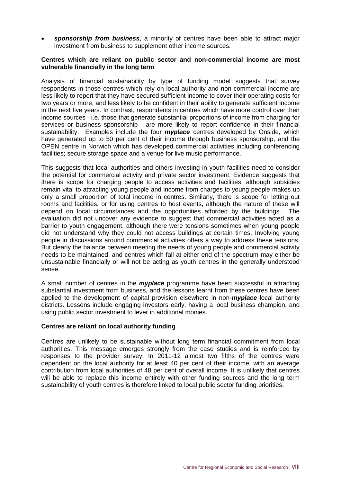*sponsorship from business*, a minority of centres have been able to attract major investment from business to supplement other income sources.

#### **Centres which are reliant on public sector and non-commercial income are most vulnerable financially in the long term**

Analysis of financial sustainability by type of funding model suggests that survey respondents in those centres which rely on local authority and non-commercial income are less likely to report that they have secured sufficient income to cover their operating costs for two years or more, and less likely to be confident in their ability to generate sufficient income in the next five years. In contrast, respondents in centres which have more control over their income sources - i.e. those that generate substantial proportions of income from charging for services or business sponsorship - are more likely to report confidence in their financial sustainability. Examples include the four *myplace* centres developed by Onside, which have generated up to 50 per cent of their income through business sponsorship, and the OPEN centre in Norwich which has developed commercial activities including conferencing facilities; secure storage space and a venue for live music performance.

This suggests that local authorities and others investing in youth facilities need to consider the potential for commercial activity and private sector investment. Evidence suggests that there is scope for charging people to access activities and facilities, although subsidies remain vital to attracting young people and income from charges to young people makes up only a small proportion of total income in centres. Similarly, there is scope for letting out rooms and facilities, or for using centres to host events, although the nature of these will depend on local circumstances and the opportunities afforded by the buildings. The evaluation did not uncover any evidence to suggest that commercial activities acted as a barrier to youth engagement, although there were tensions sometimes when young people did not understand why they could not access buildings at certain times. Involving young people in discussions around commercial activities offers a way to address these tensions. But clearly the balance between meeting the needs of young people and commercial activity needs to be maintained, and centres which fall at either end of the spectrum may either be unsustainable financially or will not be acting as youth centres in the generally understood sense.

A small number of centres in the *myplace* programme have been successful in attracting substantial investment from business, and the lessons learnt from these centres have been applied to the development of capital provision elsewhere in non-*myplace* local authority districts. Lessons include engaging investors early, having a local business champion, and using public sector investment to lever in additional monies.

#### **Centres are reliant on local authority funding**

<span id="page-11-0"></span>Centres are unlikely to be sustainable without long term financial commitment from local authorities. This message emerges strongly from the case studies and is reinforced by responses to the provider survey. In 2011-12 almost two fifths of the centres were dependent on the local authority for at least 40 per cent of their income, with an average contribution from local authorities of 48 per cent of overall income. It is unlikely that centres will be able to replace this income entirely with other funding sources and the long term sustainability of youth centres is therefore linked to local public sector funding priorities.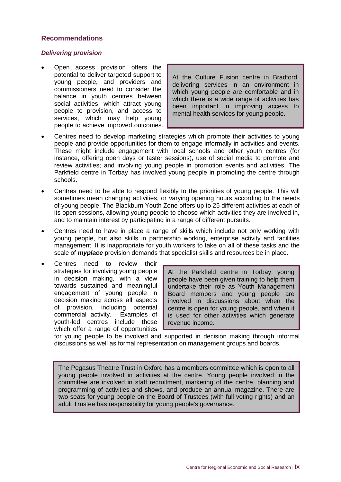#### **Recommendations**

#### *Delivering provision*

 Open access provision offers the potential to deliver targeted support to young people, and providers and commissioners need to consider the balance in youth centres between social activities, which attract young people to provision, and access to services, which may help young people to achieve improved outcomes.

At the Culture Fusion centre in Bradford, delivering services in an environment in which young people are comfortable and in which there is a wide range of activities has been important in improving access to mental health services for young people.

- Centres need to develop marketing strategies which promote their activities to young people and provide opportunities for them to engage informally in activities and events. These might include engagement with local schools and other youth centres (for instance, offering open days or taster sessions), use of social media to promote and review activities; and involving young people in promotion events and activities. The Parkfield centre in Torbay has involved young people in promoting the centre through schools.
- Centres need to be able to respond flexibly to the priorities of young people. This will sometimes mean changing activities, or varying opening hours according to the needs of young people. The Blackburn Youth Zone offers up to 25 different activities at each of its open sessions, allowing young people to choose which activities they are involved in, and to maintain interest by participating in a range of different pursuits.
- Centres need to have in place a range of skills which include not only working with young people, but also skills in partnership working, enterprise activity and facilities management. It is inappropriate for youth workers to take on all of these tasks and the scale of *myplace* provision demands that specialist skills and resources be in place.
- Centres need to review their strategies for involving young people in decision making, with a view towards sustained and meaningful engagement of young people in decision making across all aspects of provision, including potential commercial activity. Examples of youth-led centres include those which offer a range of opportunities

At the Parkfield centre in Torbay, young people have been given training to help them undertake their role as Youth Management Board members and young people are involved in discussions about when the centre is open for young people, and when it is used for other activities which generate revenue income.

for young people to be involved and supported in decision making through informal discussions as well as formal representation on management groups and boards.

The Pegasus Theatre Trust in Oxford has a members committee which is open to all young people involved in activities at the centre. Young people involved in the committee are involved in staff recruitment, marketing of the centre, planning and programming of activities and shows, and produce an annual magazine. There are two seats for young people on the Board of Trustees (with full voting rights) and an adult Trustee has responsibility for young people's governance.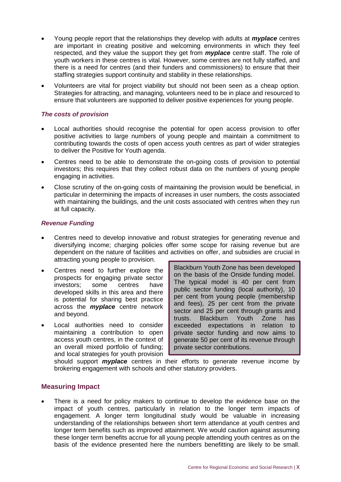- Young people report that the relationships they develop with adults at *myplace* centres are important in creating positive and welcoming environments in which they feel respected, and they value the support they get from *myplace* centre staff. The role of youth workers in these centres is vital. However, some centres are not fully staffed, and there is a need for centres (and their funders and commissioners) to ensure that their staffing strategies support continuity and stability in these relationships.
- Volunteers are vital for project viability but should not been seen as a cheap option. Strategies for attracting, and managing, volunteers need to be in place and resourced to ensure that volunteers are supported to deliver positive experiences for young people.

#### *The costs of provision*

- Local authorities should recognise the potential for open access provision to offer positive activities to large numbers of young people and maintain a commitment to contributing towards the costs of open access youth centres as part of wider strategies to deliver the Positive for Youth agenda.
- Centres need to be able to demonstrate the on-going costs of provision to potential investors; this requires that they collect robust data on the numbers of young people engaging in activities.
- Close scrutiny of the on-going costs of maintaining the provision would be beneficial, in particular in determining the impacts of increases in user numbers, the costs associated with maintaining the buildings, and the unit costs associated with centres when they run at full capacity.

#### *Revenue Funding*

- Centres need to develop innovative and robust strategies for generating revenue and diversifying income; charging policies offer some scope for raising revenue but are dependent on the nature of facilities and activities on offer, and subsidies are crucial in attracting young people to provision.
- Centres need to further explore the prospects for engaging private sector investors; some centres have developed skills in this area and there is potential for sharing best practice across the *myplace* centre network and beyond.
- Local authorities need to consider maintaining a contribution to open access youth centres, in the context of an overall mixed portfolio of funding; and local strategies for youth provision

Blackburn Youth Zone has been developed on the basis of the Onside funding model. The typical model is 40 per cent from public sector funding (local authority), 10 per cent from young people (membership and fees), 25 per cent from the private sector and 25 per cent through grants and trusts. Blackburn Youth Zone has exceeded expectations in relation to private sector funding and now aims to generate 50 per cent of its revenue through private sector contributions.

should support *myplace* centres in their efforts to generate revenue income by brokering engagement with schools and other statutory providers.

## <span id="page-13-0"></span>**Measuring Impact**

 There is a need for policy makers to continue to develop the evidence base on the impact of youth centres, particularly in relation to the longer term impacts of engagement. A longer term longitudinal study would be valuable in increasing understanding of the relationships between short term attendance at youth centres and longer term benefits such as improved attainment. We would caution against assuming these longer term benefits accrue for all young people attending youth centres as on the basis of the evidence presented here the numbers benefitting are likely to be small.